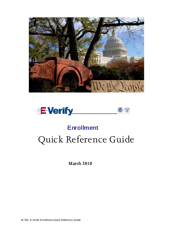



# Quick Reference Guide **Enrollment**

**March 2010**

*M-782, E-Verify Enrollment Quick Reference Guide*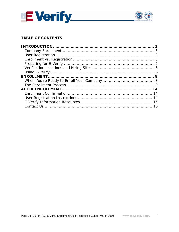



# **TABLE OF CONTENTS**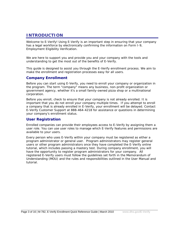# **INTRODUCTION**

Welcome to E-Verify! Using E-Verify is an important step in ensuring that your company has a legal workforce by electronically confirming the information on Form I-9, Employment Eligibility Verification.

We are here to support you and provide you and your company with the tools and understanding to get the most out of the benefits of E-Verify.

This guide is designed to assist you through the E-Verify enrollment process. We aim to make the enrollment and registration processes easy for all users.

# **Company Enrollment**

Before you can start using E-Verify, you need to enroll your company or organization in the program. The term "company" means any business, non-profit organization or government agency, whether it's a small family-owned pizza shop or a multinational corporation.

Before you enroll, check to ensure that your company is not already enrolled. It is important that you do not enroll your company multiple times. If you attempt to enroll a company that is already enrolled in E-Verify, your enrollment will be delayed. Contact E-Verify Customer Support at 888-464-4218 for assistance or questions in determining your company's enrollment status.

# **User Registration**

l

Enrolled companies can provide their employees access to E-Verify by assigning them a user role. You can use user roles to manage which E-Verify features and permissions are available to your users.

Every person who uses E-Verify within your company must be registered as either a program administrator or general user. Program administrators may register general users or other program administrators once they have completed the E-Verify online tutorial, which includes passing a mastery test. During company enrollment, you will have the opportunity to register program administrators for your company. All registered E-Verify users must follow the guidelines set forth in the Memorandum of Understanding (MOU) and the rules and responsibilities outlined in the User Manual and tutorial.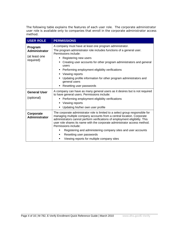The following table explains the features of each user role. The corporate administrator user role is available only to companies that enroll in the corporate administrator access method.

| <b>USER ROLE</b>                                              | <b>PERMISSIONS</b>                                                                                                                                                                                                                                                                                                                                                                                                                                                                                   |
|---------------------------------------------------------------|------------------------------------------------------------------------------------------------------------------------------------------------------------------------------------------------------------------------------------------------------------------------------------------------------------------------------------------------------------------------------------------------------------------------------------------------------------------------------------------------------|
| Program<br><b>Administrator</b><br>(at least one<br>required) | A company must have at least one program administrator.<br>The program administrator role includes functions of a general user.<br>Permissions include:<br>Registering new users<br>٠<br>Creating user accounts for other program administrators and general<br>٠<br>users<br>Performing employment eligibility verifications<br>٠<br>Viewing reports<br>٠<br>Updating profile information for other program administrators and<br>general users<br>Resetting user passwords                         |
| <b>General User</b><br>(optional)                             | A company can have as many general users as it desires but is not required<br>to have general users. Permissions include:<br>Performing employment eligibility verifications<br>Viewing reports<br>Updating his/her own user profile                                                                                                                                                                                                                                                                 |
| Corporate<br><b>Administrator</b>                             | The corporate administrator role is limited to a select group responsible for<br>managing multiple company accounts from a central location. Corporate<br>administrators cannot perform verifications of employment eligibility. This<br>user role shares its name with the corporate administrator access method.<br>Permissions include:<br>Registering and administering company sites and user accounts<br>٠<br>Resetting user passwords<br>٠<br>Viewing reports for multiple company sites<br>٠ |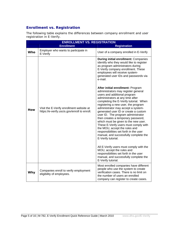# **Enrollment vs. Registration**

The following table explains the differences between company enrollment and user registration in E-Verify.

|            | <b>ENROLLMENT VS. REGISTRATION</b>                                                       |                                                                                                                                                                                                                                                                                                                                                                                                                                                                                                                                                                                                                                                                                            |  |
|------------|------------------------------------------------------------------------------------------|--------------------------------------------------------------------------------------------------------------------------------------------------------------------------------------------------------------------------------------------------------------------------------------------------------------------------------------------------------------------------------------------------------------------------------------------------------------------------------------------------------------------------------------------------------------------------------------------------------------------------------------------------------------------------------------------|--|
|            | <b>Enrollment</b>                                                                        | <b>Registration</b>                                                                                                                                                                                                                                                                                                                                                                                                                                                                                                                                                                                                                                                                        |  |
| <b>Who</b> | Employer who wants to participate in<br>E-Verify                                         | User of a company enrolled in E-Verify                                                                                                                                                                                                                                                                                                                                                                                                                                                                                                                                                                                                                                                     |  |
| How        |                                                                                          | <b>During initial enrollment: Companies</b><br>identify who they would like to register<br>as program administrators during<br>E-Verify company enrollment. These<br>employees will receive system-<br>generated user IDs and passwords via<br>e-mail.                                                                                                                                                                                                                                                                                                                                                                                                                                     |  |
|            | Visit the E-Verify enrollment website at<br>https://e-verify.uscis.gov/enroll to enroll. | After initial enrollment: Program<br>administrators may register general<br>users and additional program<br>administrators at any time after<br>completing the E-Verify tutorial. When<br>registering a new user, the program<br>administrator may accept a system-<br>generated user ID or create a custom<br>user ID. The program administrator<br>then creates a temporary password,<br>which must be given to the new user.<br>These E-Verify users must comply with<br>the MOU, accept the rules and<br>responsibilities set forth in the user<br>manual, and successfully complete the<br>E-Verify tutorial.<br>All E-Verify users must comply with the<br>MOU, accept the rules and |  |
|            |                                                                                          | responsibilities set forth in the user<br>manual, and successfully complete the<br>E-Verify tutorial.                                                                                                                                                                                                                                                                                                                                                                                                                                                                                                                                                                                      |  |
| Why        | Companies enroll to verify employment<br>eligibility of employees.                       | Most enrolled companies have different<br>people who use the system to create<br>verification cases. There is no limit on<br>the number of users an enrolled<br>company can register to create cases.                                                                                                                                                                                                                                                                                                                                                                                                                                                                                      |  |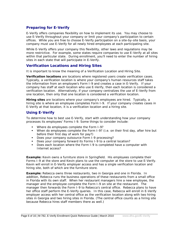# **Preparing for E-Verify**

E-Verify offers companies flexibility on how to implement its use. You may choose to use E-Verify throughout your company or limit your company's participation to certain offices. While you are free to choose E-Verify participation on a site-by-site basis, your company must use E-Verify for all newly hired employees at each participating site.

While E-Verify offers your company this flexibility, other laws and regulations may be more restrictive. For example, some states require companies to use E-Verify at all sites within that particular state. During enrollment, you'll need to enter the number of hiring sites in each state that will participate in E-Verify.

# **Verification Locations and Hiring Sites**

It is important to know the meaning of a Verification Location and Hiring Site.

**Verification locations** are locations where registered users create verification cases. Typically, a verification location is where your company's human resources staff takes the information from an employee's Form I-9 and creates a case in E-Verify. If your company has staff at each location who use E-Verify, then each location is considered a verification location. Alternatively, if your company centralizes the use of E-Verify from one location, then only that one location is considered a verification location.

**Hiring sites** are locations where your company's employees are hired. Typically, a hiring site is where an employee completes Form I-9. If your company creates cases in E-Verify at that location, it is a verification location and a hiring site.

# **Using E-Verify**

l

To determine how to best use E-Verify, start with understanding how your company processes its employees' Forms I-9. Some things to consider include:

- **Where do employees complete the Form I-9?**
- When do employees complete the Form I-9? (i.e. on their first day, after hire but before their first day of work for pay?)
- Does your company outsource Form I-9 processing?
- Does your company forward its Forms I-9 to a central location?
- Does each location where the Form I-9 is completed have a computer with Internet access?

**Example:** Kevin owns a furniture store in Springfield. His employees complete their Forms I-9 at the store and Kevin plans to use the computer at the store to use E-Verify. Kevin will enroll in E-Verify employer access and has a single verification location and hiring site, both of which are the furniture store.

**Example:** Rebecca owns three restaurants, two in Georgia and one in Florida. In addition, Rebecca runs the business operations of these restaurants from a small office in Florida with its own staff. When her restaurant managers hire a new employee, the manager and the employee complete the Form I-9 on site at the restaurant. The manager then forwards the Form I-9 to Rebecca's central office. Rebecca plans to have her office staff perform the E-Verify queries. In this case, Rebecca will enroll in E-Verify employer access with her central office as the verification location along with two hiring sites in Georgia and two hiring sites in Florida. (The central office counts as a hiring site because Rebecca hires staff members there as well.)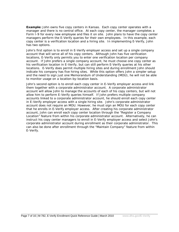**Example:** John owns five copy centers in Kansas. Each copy center operates with a manager and there is no central office. At each copy center, the manager completes a Form I-9 for every new employee and files it on site. John plans to have the copy center managers perform the E-Verify queries for their own employees. In this example, each copy center is a verification location and a hiring site. In implementing E-Verify, John has two options.

John's first option is to enroll in E-Verify employer access and set up a single company account that will serve all of his copy centers. Although John has five verification locations, E-Verify only permits you to enter one verification location per company account. If John prefers a single company account, he must choose one copy center as his verification location in E-Verify, but can still perform E-Verify queries at his other locations. E-Verify does permit multiple hiring sites and during enrollment John should indicate his company has five hiring sites. While this option offers John a simpler setup and the need to sign just one Memorandum of Understanding (MOU), he will not be able to monitor usage on a location-by-location basis.

John's second option is to enroll each copy center in E-Verify employer access and link them together with a corporate administrator account. A corporate administrator account will allow John to manage the accounts of each of his copy centers, but will not allow him to perform E-Verify queries himself. If John prefers multiple company accounts linked to a corporate administrator account, he should enroll each copy center in E-Verify employer access with a single hiring site. John's corporate administrator account does not require an MOU. However, he must sign an MOU for each copy center that he enrolls in E-Verify employer access. After creating his corporate administrator account, John can enroll each copy center location through the "Register a Company Location" feature from within his corporate administrator account. Alternatively, he can instruct his copy center managers to enroll in E-Verify employer access and select John's corporate administrator account during enrollment as their corporate administrator. This can also be done after enrollment through the "Maintain Company" feature from within E-Verify.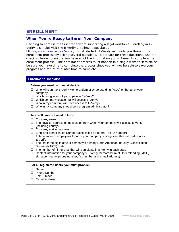# **ENROLLMENT**

# **When You're Ready to Enroll Your Company**

Deciding to enroll is the first step toward supporting a legal workforce. Enrolling in E-Verify is simple! Visit the E-Verify enrollment website at

<https://e-verify.uscis.gov/enroll/> to get started. E-Verify will guide you through the enrollment process by asking several questions. To prepare for these questions, use the checklist below to ensure you have all of the information you will need to complete the enrollment process. The enrollment process must happen in a single website session, so be sure you have time to complete the process since you will not be able to save your progress and return at a later time to complete.

#### **Enrollment Checklist**

#### **Before you enroll, you must decide:**

- $\Box$  Who will sign the E-Verify Memorandum of Understanding (MOU) on behalf of your company?
- $\Box$  Which hiring sites will participate in E-Verify?
- $\Box$  Which company location(s) will access E-Verify?
- $\Box$  Who in my company will have access to E-Verify?
- $\Box$  Who in my company should be a program administrator?

#### **To enroll, you will need to know:**

- $\Box$  Company name
- $\Box$  The physical address of the location from which your company will access E-Verify (including county)
- $\Box$  Company mailing address
- $\Box$  Employer Identification Number (also called a Federal Tax ID Number)
- $\Box$  Total number of employees for all of your company's hiring sites that will participate in E-Verify
- $\Box$  The first three digits of your company's primary North American Industry Classification System (NAICS) code
- $\Box$  The number of hiring sites that will participate in E-Verify in each state
- $\Box$  Contact information for your company's E-Verify Memorandum of Understanding (MOU) signatory (name, phone number, fax number and e-mail address)

#### **For all registered users, you must provide:**

□ Name

- □ Phone Number
- □ Fax Number
- □ E-mail Address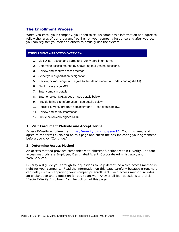# **The Enrollment Process**

When you enroll your company, you need to tell us some basic information and agree to follow the rules of our program. You'll enroll your company just once and after you do, you can register yourself and others to actually use the system.

# **ENROLLMENT – PROCESS OVERVIEW**

- **1.** Visit URL accept and agree to E-Verify enrollment terms.
- **2.** Determine access method by answering four yes/no questions.
- **3.** Review and confirm access method.
- **4.** Select your organization designation.
- **5.** Review, acknowledge, and agree to the Memorandum of Understanding (MOU).
- **6.** Electronically sign MOU.
- **7.** Enter company details.
- **8.** Enter or select NAICS code see details below.
- **9.** Provide hiring site information see details below.
- **10.** Register E-Verify program administrator(s) see details below.
- **11.** Review and certify information.
- **12.** Print electronically signed MOU.

## **1. Visit Enrollment Website and Accept Terms**

Access E-Verify enrollment at <https://e-verify.uscis.gov/enroll/>. You must read and agree to the terms explained on this page and check the box indicating your agreement before you click "Continue."

## **2. Determine Access Method**

l

An access method provides companies with different functions within E-Verify. The four access methods are Employer, Designated Agent, Corporate Administrator, and Web Services.

E-Verify will guide you through four questions to help determine which access method is right for your company. Read the information on this page carefully because errors here can delay us from approving your company's enrollment. Each access method includes an explanation and a question for you to answer. Answer all four questions and click "Begin E-Verify Enrollment" at the bottom of this page.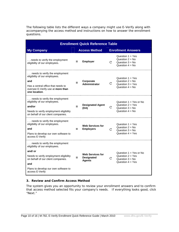The following table lists the different ways a company might use E-Verify along with accompanying the access method and instructions on how to answer the enrollment questions.

| <b>Enrollment Quick Reference Table</b>                                                                                                                                                                                      |                                                                      |                                                                                                |
|------------------------------------------------------------------------------------------------------------------------------------------------------------------------------------------------------------------------------|----------------------------------------------------------------------|------------------------------------------------------------------------------------------------|
| <b>My Company</b>                                                                                                                                                                                                            | <b>Access Method</b>                                                 | <b>Enrollment Answers</b>                                                                      |
| needs to verify the employment<br>eligibility of our employees.                                                                                                                                                              | <b>Employer</b><br>$=$                                               | Question $1 = Yes$<br>Question $2 = No$<br>C<br>Question $3 = No$<br>Question $4 = No$         |
| needs to verify the employment<br>eligibility of our employees.<br>and<br>Has a central office that needs to<br>oversee E-Verify use at more than<br>one location.                                                           | Corporate<br>=<br><b>Administrator</b>                               | Question $1 = Yes$<br>Question $2 = No$<br>С<br>Question $3 = Yes$<br>Question $4 = No$        |
| needs to verify the employment<br>eligibility of our employees.<br>and/or<br>Needs to verify employment eligibility<br>on behalf of our client companies.                                                                    | <b>Designated Agent</b><br>$=$<br>(DA)                               | Question $1 = Yes$ or No<br>Question $2 = Yes$<br>C<br>Question $3 = No$<br>Question $4 = No$  |
| needs to verify the employment<br>eligibility of our employees.<br>and<br>Plans to develop our own software to<br>access E-Verify                                                                                            | <b>Web Services for</b><br><b>Employers</b>                          | Question $1 = Yes$<br>Question $2 = No$<br>C<br>Question $3 = No$<br>Question $4 = Yes$        |
| needs to verify the employment<br>eligibility of our employees.<br>and/ or<br>Needs to verify employment eligibility<br>on behalf of our client companies.<br>and<br>Plans to develop our own software to<br>access E-Verify | <b>Web Services for</b><br><b>Designated</b><br>$=$<br><b>Agents</b> | Question $1 = Yes$ or No<br>Question $2 = Yes$<br>C<br>Question $3 = No$<br>Question $4 = Yes$ |

#### **3. Review and Confirm Access Method**

l

The system gives you an opportunity to review your enrollment answers and to confirm that access method selected fits your company's needs. If everything looks good, click "Next."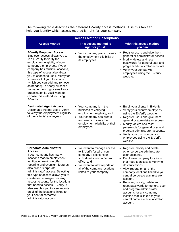The following table describes the different E-Verify access methods. Use this table to help you identify which access method is right for your company.

| <b>Access Method Descriptions</b>                                                                                                                                                                                                                                                                                                                                                                                                                                                                                     |                                                                                                                                                                                                                                         |                                                                                                                                                                                                                                                                                                                                                                                                                                                                                                                                  |  |
|-----------------------------------------------------------------------------------------------------------------------------------------------------------------------------------------------------------------------------------------------------------------------------------------------------------------------------------------------------------------------------------------------------------------------------------------------------------------------------------------------------------------------|-----------------------------------------------------------------------------------------------------------------------------------------------------------------------------------------------------------------------------------------|----------------------------------------------------------------------------------------------------------------------------------------------------------------------------------------------------------------------------------------------------------------------------------------------------------------------------------------------------------------------------------------------------------------------------------------------------------------------------------------------------------------------------------|--|
| <b>Access Method</b>                                                                                                                                                                                                                                                                                                                                                                                                                                                                                                  | This access method is<br>right for you if:                                                                                                                                                                                              | With this access method,<br>you can:                                                                                                                                                                                                                                                                                                                                                                                                                                                                                             |  |
| <b>E-Verify Employer Access</b><br>Employer access allows you to<br>use E-Verify to verify the<br>employment eligibility of your<br>company's employees. If your<br>company has multiple locations,<br>this type of access also allows<br>you to choose to use E-Verify for<br>some or all of your locations<br>(which you can add and remove<br>as needed). In nearly all cases,<br>no matter how big or small your<br>organization is, you'll want to<br>choose this method for using<br>E-Verify.                  | Your company plans to verify<br>the employment eligibility of<br>its employees.                                                                                                                                                         | Register users and give them<br>general or administrator access.<br>Modify, delete and reset<br>$\bullet$<br>passwords for general user and<br>program administrator accounts.<br>Verify your company's<br>$\bullet$<br>employees using the E-Verify<br>website.                                                                                                                                                                                                                                                                 |  |
| <b>Designated Agent Access</b><br>Designated Agents use E-Verify<br>to verify the employment eligibility<br>of their clients' employees.                                                                                                                                                                                                                                                                                                                                                                              | Your company is in the<br>business of verifying<br>employment eligibility; and<br>Your company has clients<br>$\bullet$<br>and needs to verify the<br>employment eligibility of their<br>employees.                                     | Enroll your clients in E-Verify.<br>٠<br>Verify your clients' employees<br>using the E-Verify website.<br>Register users and give them<br>$\bullet$<br>general or administrator access.<br>Modify, delete and reset<br>$\bullet$<br>passwords for general user and<br>program administrator accounts.<br>Verify your own company's<br>employees using the E-Verify<br>website.                                                                                                                                                   |  |
| <b>Corporate Administrator</b><br><b>Access</b><br>If your company has many<br>locations that do employment<br>verification work, we offer<br>reporting and oversight features,<br>also called "corporate<br>administrator" access. Selecting<br>this type of access allows you to<br>create and manage company<br>access accounts for the locations<br>that need to access E-Verify. It<br>also enables you to view reports<br>on all of the locations linked to<br>your central corporate<br>administrator account. | You want to manage access<br>to E-Verify for all of your<br>company's locations or<br>subsidiaries from a central<br>office; and<br>You want to view reports on<br>$\bullet$<br>all of the company locations<br>linked to your company. | Register, modify and delete<br>other corporate administrator<br>user accounts.<br>Enroll new company locations<br>that need to access E-Verify to<br>do verifications.<br>View reports on all of the<br>$\bullet$<br>company locations linked to your<br>central corporate administrator<br>account.<br>Register, modify, delete and<br>$\bullet$<br>reset passwords for general user<br>and program administrator<br>accounts for any company<br>location that is linked to your<br>central corporate administrator<br>account. |  |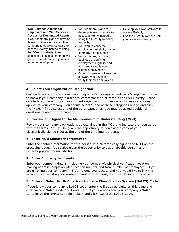| <b>Web Services Access for</b><br><b>Employers and Web Services</b><br><b>Access for Designated Agents</b><br>If your company plans to develop<br>its own software or hire another<br>company to develop software to<br>access E-Verify instead of using<br>the E-Verify website, then<br>selecting this access method will<br>get you the information you need<br>to begin development. | • Your company plans to<br>develop its own software to<br>access E-Verify instead of<br>using the E-Verify website;<br>and either<br>• You plan to verify the<br>employment eligibility of your<br>company's employees; or<br>• Your company is in the<br>business of verifying<br>employment eligibility and<br>you need to verify your<br>clients' employees; or<br>• Other companies will use the<br>software you develop to | Develop your own software to<br>$\bullet$<br>access E-Verify.<br>Use the E-Verify website until<br>$\bullet$<br>your software is ready. |
|------------------------------------------------------------------------------------------------------------------------------------------------------------------------------------------------------------------------------------------------------------------------------------------------------------------------------------------------------------------------------------------|---------------------------------------------------------------------------------------------------------------------------------------------------------------------------------------------------------------------------------------------------------------------------------------------------------------------------------------------------------------------------------------------------------------------------------|-----------------------------------------------------------------------------------------------------------------------------------------|
|                                                                                                                                                                                                                                                                                                                                                                                          | verify their own employees.                                                                                                                                                                                                                                                                                                                                                                                                     |                                                                                                                                         |

# **4. Select Your Organization Designation**

Certain types of organizations have unique E-Verify requirements so it's important for us to know if your company is a federal contractor with or without the FAR E-Verify Clause or a federal, state or local government organization. Unless one of these categories applies to your company, you should select "None of these categories apply" and click the "Next." If you select one of the other categories, you may be asked additional questions related to that category.

## **5. Review and Agree to the Memorandum of Understanding (MOU)**

Review your company's obligations as explained in the MOU and indicate that you agree with the terms. You will be given the opportunity to download a copy of your electronically signed MOU at the end of the enrollment process.

## **6. Enter MOU Signatory Information**

Enter the contact information for the person who electronically signed the MOU on the preceding page. You're also given the opportunity to designate this person as an E-Verify program administrator.

## **7. Enter Company Information**

l

Enter your company details, including your company's physical verification location, mailing address, employer identification number and total number of employees. If you are enrolling your company in E-Verify employer access and you would like to link this account to an existing corporate administrator account, you may do so on this page.

## **8. Enter or Select North American Industry Classification System (NAICS) Code**

If you know your company's NAICS code, enter the first three digits on this page and click "Accept NAICS Code and Continue." If you do not know your company's NAICS code, leave the NAICS code field blank and click "Generate NAICS Code."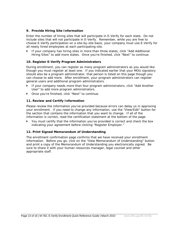#### **9. Provide Hiring Site Information**

Enter the number of hiring sites that will participate in E-Verify for each state. Do not include sites that will not participate in E-Verify. Remember, while you are free to choose E-Verify participation on a site-by-site basis, your company must use E-Verify for all newly hired employees at each participating site.

If your company has hiring sites in more than three states, click "Add Additional Hiring Sites" to add more states. Once you're finished, click "Next" to continue.

#### **10. Register E-Verify Program Administrators**

During enrollment, you can register as many program administrators as you would like though you must register at least one. If you indicated earlier that your MOU signatory should also be a program administrator, that person is listed on this page though you can choose to add more. After enrollment, your program administrators can register general users and additional program administrators.

- If your company needs more than four program administrators, click "Add Another" User" to add more program administrators.
- Once you're finished, click "Next" to continue.

#### **11. Review and Certify Information**

l

Please review the information you've provided because errors can delay us in approving your enrollment. If you need to change any information, use the "View/Edit" button for the section that contains the information that you want to change. If all of the information is correct, read the certification statement at the bottom of the page.

 You must certify that the information you've provided is correct and check the box indicating your agreement before clicking "Register Employer."

#### **12. Print Signed Memorandum of Understanding**

The enrollment confirmation page confirms that we have received your enrollment information. Before you go, click on the "View Memorandum of Understanding" button and print a copy of the Memorandum of Understanding you electronically signed. Be sure to share it with your human resources manager, legal counsel and other appropriate staff.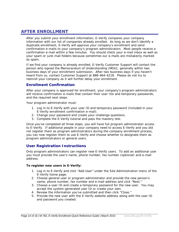# **AFTER ENROLLMENT**

After you submit your enrollment information, E-Verify compares your company information with our list of companies already enrolled. As long as we don't identify a duplicate enrollment, E-Verify will approve your company's enrollment and send confirmation e-mails to your company's program administrators. Most people receive a confirmation e-mail within a few minutes. You should check your e-mail inbox as well as your spam or junk mail folders because sometimes our e-mails are mistakenly marked as spam.

If we find your company is already enrolled, E-Verify Customer Support will contact the person who signed the Memorandum of Understanding (MOU), generally within two business days of your enrollment submission. After two business days if you haven't heard from us, contact Customer Support at 888-464-4218. Please do not try to reenroll your company as it will further delay your enrollment.

# **Enrollment Confirmation**

After your company is approved for enrollment, your company's program administrators will receive confirmation e-mails that contain their user IDs and temporary passwords, and the required next steps.

Your program administrator must:

- 1. Log in to E-Verify with your user ID and temporary password (included in your E-Verify enrollment confirmation e-mail).
- 2. Change your password and create your challenge questions.
- 3. Complete the E-Verify tutorial and pass the mastery test.

Once you've completed all three steps, you will have full program administrator access to E-Verify. If additional people in your company need to access E-Verify and you did not register them as program administrators during the company enrollment process, you can now register them to use E-Verify and choose whether to designate them as program administrators or general users.

# **User Registration Instructions**

Only program administrators can register new E-Verify users. To add an additional user you must provide the user's name, phone number, fax number (optional) and e-mail address.

#### **To register new users in E-Verify:**

- 1. Log in to E-Verify and click "Add User" under the Site Administration menu of the E-Verify home page.
- 2. Choose general user or program administrator and provide the new person's name, phone number, fax number and e-mail address and click "Next."
- 3. Choose a user ID and create a temporary password for the new user. You may accept the system-generated user ID or create your own.
- 4. Review the information you've submitted and then click "Close."
- 5. Provide the new user with the E-Verify website address along with the user ID and password you created.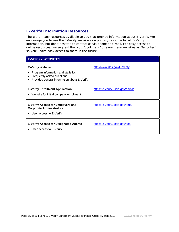# **E-Verify Information Resources**

There are many resources available to you that provide information about E-Verify. We encourage you to use the E-Verify website as a primary resource for all E-Verify information, but don't hesitate to contact us via phone or e-mail. For easy access to online resources, we suggest that you "bookmark" or save these websites as "favorites" so you'll have easy access to them in the future.

# **E-VERIFY WEBSITES**

| <b>E-Verify Website</b><br>Program information and statistics<br>$\bullet$<br>Frequently asked questions<br>$\bullet$<br>Provides general information about E-Verify<br>$\bullet$ | http://www.dhs.gov/E-Verify        |
|-----------------------------------------------------------------------------------------------------------------------------------------------------------------------------------|------------------------------------|
| <b>E-Verify Enrollment Application</b><br>• Website for initial company enrollment                                                                                                | https://e-verify.uscis.gov/enroll/ |
| <b>E-Verify Access for Employers and</b><br><b>Corporate Administrators</b><br>• User access to E-Verify                                                                          | https://e-verify.uscis.gov/emp/    |
| <b>E-Verify Access for Designated Agents</b><br>• User access to E-Verify                                                                                                         | https://e-verify.uscis.gov/esp/    |